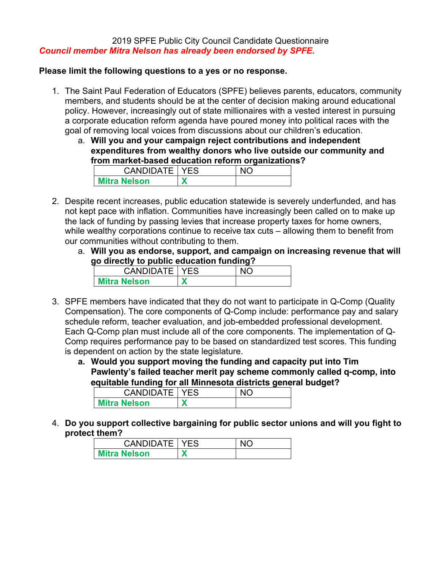## 2019 SPFE Public City Council Candidate Questionnaire *Council member Mitra Nelson has already been endorsed by SPFE.*

### **Please limit the following questions to a yes or no response.**

- 1. The Saint Paul Federation of Educators (SPFE) believes parents, educators, community members, and students should be at the center of decision making around educational policy. However, increasingly out of state millionaires with a vested interest in pursuing a corporate education reform agenda have poured money into political races with the goal of removing local voices from discussions about our children's education.
	- a. **Will you and your campaign reject contributions and independent expenditures from wealthy donors who live outside our community and from market-based education reform organizations?**

| <b>CANDIDATE   YES</b> | N <sub>IC</sub> |
|------------------------|-----------------|
| <b>Mitra Nelson</b>    |                 |

- 2. Despite recent increases, public education statewide is severely underfunded, and has not kept pace with inflation. Communities have increasingly been called on to make up the lack of funding by passing levies that increase property taxes for home owners, while wealthy corporations continue to receive tax cuts – allowing them to benefit from our communities without contributing to them.
	- a. **Will you as endorse, support, and campaign on increasing revenue that will go directly to public education funding?**

| <b>CANDIDATE   YES</b> |  |
|------------------------|--|
| <b>Mitra Nelson</b>    |  |

- 3. SPFE members have indicated that they do not want to participate in Q-Comp (Quality Compensation). The core components of Q-Comp include: performance pay and salary schedule reform, teacher evaluation, and job-embedded professional development. Each Q-Comp plan must include all of the core components. The implementation of Q-Comp requires performance pay to be based on standardized test scores. This funding is dependent on action by the state legislature.
	- **a. Would you support moving the funding and capacity put into Tim Pawlenty's failed teacher merit pay scheme commonly called q-comp, into equitable funding for all Minnesota districts general budget?**

| <b>CANDIDATE   YES</b> |  |
|------------------------|--|
| <b>Mitra Nelson</b>    |  |
|                        |  |

4. **Do you support collective bargaining for public sector unions and will you fight to protect them?**

| <b>CANDIDATE   YES</b> | NIC |
|------------------------|-----|
| <b>Mitra Nelson</b>    |     |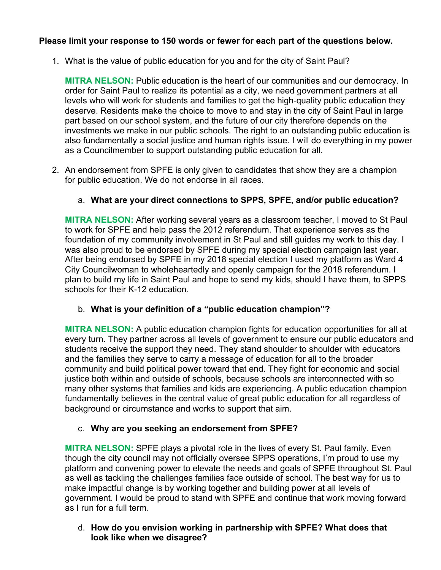# **Please limit your response to 150 words or fewer for each part of the questions below.**

1. What is the value of public education for you and for the city of Saint Paul?

**MITRA NELSON:** Public education is the heart of our communities and our democracy. In order for Saint Paul to realize its potential as a city, we need government partners at all levels who will work for students and families to get the high-quality public education they deserve. Residents make the choice to move to and stay in the city of Saint Paul in large part based on our school system, and the future of our city therefore depends on the investments we make in our public schools. The right to an outstanding public education is also fundamentally a social justice and human rights issue. I will do everything in my power as a Councilmember to support outstanding public education for all.

2. An endorsement from SPFE is only given to candidates that show they are a champion for public education. We do not endorse in all races.

# a. **What are your direct connections to SPPS, SPFE, and/or public education?**

**MITRA NELSON:** After working several years as a classroom teacher, I moved to St Paul to work for SPFE and help pass the 2012 referendum. That experience serves as the foundation of my community involvement in St Paul and still guides my work to this day. I was also proud to be endorsed by SPFE during my special election campaign last year. After being endorsed by SPFE in my 2018 special election I used my platform as Ward 4 City Councilwoman to wholeheartedly and openly campaign for the 2018 referendum. I plan to build my life in Saint Paul and hope to send my kids, should I have them, to SPPS schools for their K-12 education.

## b. **What is your definition of a "public education champion"?**

**MITRA NELSON:** A public education champion fights for education opportunities for all at every turn. They partner across all levels of government to ensure our public educators and students receive the support they need. They stand shoulder to shoulder with educators and the families they serve to carry a message of education for all to the broader community and build political power toward that end. They fight for economic and social justice both within and outside of schools, because schools are interconnected with so many other systems that families and kids are experiencing. A public education champion fundamentally believes in the central value of great public education for all regardless of background or circumstance and works to support that aim.

## c. **Why are you seeking an endorsement from SPFE?**

**MITRA NELSON:** SPFE plays a pivotal role in the lives of every St. Paul family. Even though the city council may not officially oversee SPPS operations, I'm proud to use my platform and convening power to elevate the needs and goals of SPFE throughout St. Paul as well as tackling the challenges families face outside of school. The best way for us to make impactful change is by working together and building power at all levels of government. I would be proud to stand with SPFE and continue that work moving forward as I run for a full term.

# d. **How do you envision working in partnership with SPFE? What does that look like when we disagree?**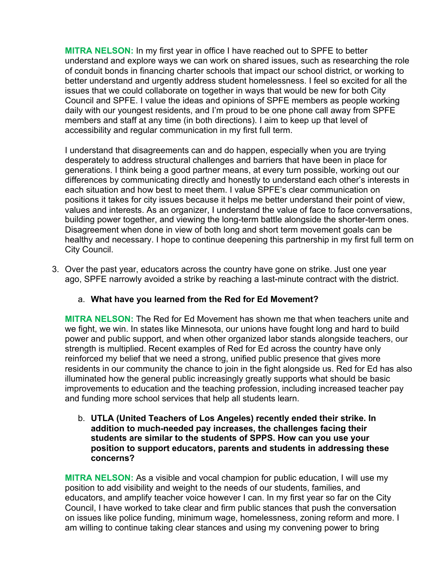**MITRA NELSON:** In my first year in office I have reached out to SPFE to better understand and explore ways we can work on shared issues, such as researching the role of conduit bonds in financing charter schools that impact our school district, or working to better understand and urgently address student homelessness. I feel so excited for all the issues that we could collaborate on together in ways that would be new for both City Council and SPFE. I value the ideas and opinions of SPFE members as people working daily with our youngest residents, and I'm proud to be one phone call away from SPFE members and staff at any time (in both directions). I aim to keep up that level of accessibility and regular communication in my first full term.

I understand that disagreements can and do happen, especially when you are trying desperately to address structural challenges and barriers that have been in place for generations. I think being a good partner means, at every turn possible, working out our differences by communicating directly and honestly to understand each other's interests in each situation and how best to meet them. I value SPFE's clear communication on positions it takes for city issues because it helps me better understand their point of view, values and interests. As an organizer, I understand the value of face to face conversations, building power together, and viewing the long-term battle alongside the shorter-term ones. Disagreement when done in view of both long and short term movement goals can be healthy and necessary. I hope to continue deepening this partnership in my first full term on City Council.

3. Over the past year, educators across the country have gone on strike. Just one year ago, SPFE narrowly avoided a strike by reaching a last-minute contract with the district.

# a. **What have you learned from the Red for Ed Movement?**

**MITRA NELSON:** The Red for Ed Movement has shown me that when teachers unite and we fight, we win. In states like Minnesota, our unions have fought long and hard to build power and public support, and when other organized labor stands alongside teachers, our strength is multiplied. Recent examples of Red for Ed across the country have only reinforced my belief that we need a strong, unified public presence that gives more residents in our community the chance to join in the fight alongside us. Red for Ed has also illuminated how the general public increasingly greatly supports what should be basic improvements to education and the teaching profession, including increased teacher pay and funding more school services that help all students learn.

b. **UTLA (United Teachers of Los Angeles) recently ended their strike. In addition to much-needed pay increases, the challenges facing their students are similar to the students of SPPS. How can you use your position to support educators, parents and students in addressing these concerns?**

**MITRA NELSON:** As a visible and vocal champion for public education, I will use my position to add visibility and weight to the needs of our students, families, and educators, and amplify teacher voice however I can. In my first year so far on the City Council, I have worked to take clear and firm public stances that push the conversation on issues like police funding, minimum wage, homelessness, zoning reform and more. I am willing to continue taking clear stances and using my convening power to bring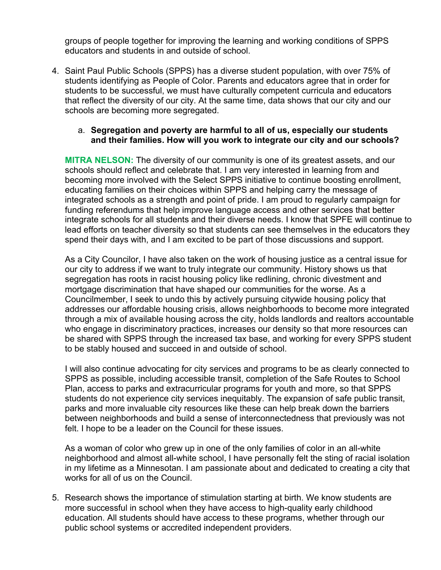groups of people together for improving the learning and working conditions of SPPS educators and students in and outside of school.

4. Saint Paul Public Schools (SPPS) has a diverse student population, with over 75% of students identifying as People of Color. Parents and educators agree that in order for students to be successful, we must have culturally competent curricula and educators that reflect the diversity of our city. At the same time, data shows that our city and our schools are becoming more segregated.

### a. **Segregation and poverty are harmful to all of us, especially our students and their families. How will you work to integrate our city and our schools?**

**MITRA NELSON:** The diversity of our community is one of its greatest assets, and our schools should reflect and celebrate that. I am very interested in learning from and becoming more involved with the Select SPPS initiative to continue boosting enrollment, educating families on their choices within SPPS and helping carry the message of integrated schools as a strength and point of pride. I am proud to regularly campaign for funding referendums that help improve language access and other services that better integrate schools for all students and their diverse needs. I know that SPFE will continue to lead efforts on teacher diversity so that students can see themselves in the educators they spend their days with, and I am excited to be part of those discussions and support.

As a City Councilor, I have also taken on the work of housing justice as a central issue for our city to address if we want to truly integrate our community. History shows us that segregation has roots in racist housing policy like redlining, chronic divestment and mortgage discrimination that have shaped our communities for the worse. As a Councilmember, I seek to undo this by actively pursuing citywide housing policy that addresses our affordable housing crisis, allows neighborhoods to become more integrated through a mix of available housing across the city, holds landlords and realtors accountable who engage in discriminatory practices, increases our density so that more resources can be shared with SPPS through the increased tax base, and working for every SPPS student to be stably housed and succeed in and outside of school.

I will also continue advocating for city services and programs to be as clearly connected to SPPS as possible, including accessible transit, completion of the Safe Routes to School Plan, access to parks and extracurricular programs for youth and more, so that SPPS students do not experience city services inequitably. The expansion of safe public transit, parks and more invaluable city resources like these can help break down the barriers between neighborhoods and build a sense of interconnectedness that previously was not felt. I hope to be a leader on the Council for these issues.

As a woman of color who grew up in one of the only families of color in an all-white neighborhood and almost all-white school, I have personally felt the sting of racial isolation in my lifetime as a Minnesotan. I am passionate about and dedicated to creating a city that works for all of us on the Council.

5. Research shows the importance of stimulation starting at birth. We know students are more successful in school when they have access to high-quality early childhood education. All students should have access to these programs, whether through our public school systems or accredited independent providers.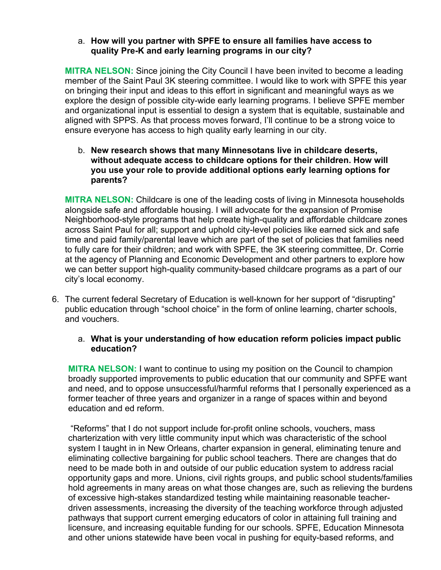## a. **How will you partner with SPFE to ensure all families have access to quality Pre-K and early learning programs in our city?**

**MITRA NELSON:** Since joining the City Council I have been invited to become a leading member of the Saint Paul 3K steering committee. I would like to work with SPFE this year on bringing their input and ideas to this effort in significant and meaningful ways as we explore the design of possible city-wide early learning programs. I believe SPFE member and organizational input is essential to design a system that is equitable, sustainable and aligned with SPPS. As that process moves forward, I'll continue to be a strong voice to ensure everyone has access to high quality early learning in our city.

b. **New research shows that many Minnesotans live in childcare deserts, without adequate access to childcare options for their children. How will you use your role to provide additional options early learning options for parents?**

**MITRA NELSON:** Childcare is one of the leading costs of living in Minnesota households alongside safe and affordable housing. I will advocate for the expansion of Promise Neighborhood-style programs that help create high-quality and affordable childcare zones across Saint Paul for all; support and uphold city-level policies like earned sick and safe time and paid family/parental leave which are part of the set of policies that families need to fully care for their children; and work with SPFE, the 3K steering committee, Dr. Corrie at the agency of Planning and Economic Development and other partners to explore how we can better support high-quality community-based childcare programs as a part of our city's local economy.

6. The current federal Secretary of Education is well-known for her support of "disrupting" public education through "school choice" in the form of online learning, charter schools, and vouchers.

## a. **What is your understanding of how education reform policies impact public education?**

**MITRA NELSON:** I want to continue to using my position on the Council to champion broadly supported improvements to public education that our community and SPFE want and need, and to oppose unsuccessful/harmful reforms that I personally experienced as a former teacher of three years and organizer in a range of spaces within and beyond education and ed reform.

"Reforms" that I do not support include for-profit online schools, vouchers, mass charterization with very little community input which was characteristic of the school system I taught in in New Orleans, charter expansion in general, eliminating tenure and eliminating collective bargaining for public school teachers. There are changes that do need to be made both in and outside of our public education system to address racial opportunity gaps and more. Unions, civil rights groups, and public school students/families hold agreements in many areas on what those changes are, such as relieving the burdens of excessive high-stakes standardized testing while maintaining reasonable teacherdriven assessments, increasing the diversity of the teaching workforce through adjusted pathways that support current emerging educators of color in attaining full training and licensure, and increasing equitable funding for our schools. SPFE, Education Minnesota and other unions statewide have been vocal in pushing for equity-based reforms, and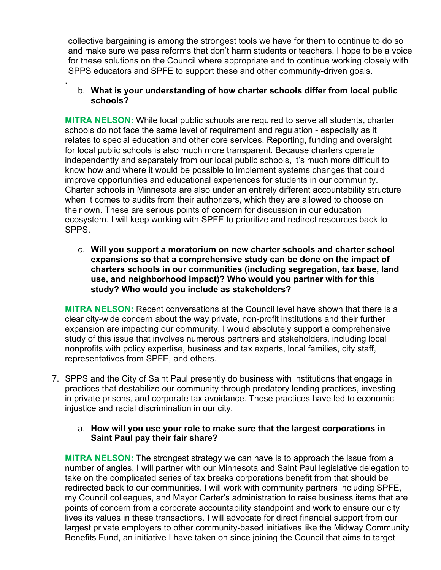collective bargaining is among the strongest tools we have for them to continue to do so and make sure we pass reforms that don't harm students or teachers. I hope to be a voice for these solutions on the Council where appropriate and to continue working closely with SPPS educators and SPFE to support these and other community-driven goals.

## b. **What is your understanding of how charter schools differ from local public schools?**

.

**MITRA NELSON:** While local public schools are required to serve all students, charter schools do not face the same level of requirement and regulation - especially as it relates to special education and other core services. Reporting, funding and oversight for local public schools is also much more transparent. Because charters operate independently and separately from our local public schools, it's much more difficult to know how and where it would be possible to implement systems changes that could improve opportunities and educational experiences for students in our community. Charter schools in Minnesota are also under an entirely different accountability structure when it comes to audits from their authorizers, which they are allowed to choose on their own. These are serious points of concern for discussion in our education ecosystem. I will keep working with SPFE to prioritize and redirect resources back to SPPS.

c. **Will you support a moratorium on new charter schools and charter school expansions so that a comprehensive study can be done on the impact of charters schools in our communities (including segregation, tax base, land use, and neighborhood impact)? Who would you partner with for this study? Who would you include as stakeholders?**

**MITRA NELSON:** Recent conversations at the Council level have shown that there is a clear city-wide concern about the way private, non-profit institutions and their further expansion are impacting our community. I would absolutely support a comprehensive study of this issue that involves numerous partners and stakeholders, including local nonprofits with policy expertise, business and tax experts, local families, city staff, representatives from SPFE, and others.

- 7. SPPS and the City of Saint Paul presently do business with institutions that engage in practices that destabilize our community through predatory lending practices, investing in private prisons, and corporate tax avoidance. These practices have led to economic injustice and racial discrimination in our city.
	- a. **How will you use your role to make sure that the largest corporations in Saint Paul pay their fair share?**

**MITRA NELSON:** The strongest strategy we can have is to approach the issue from a number of angles. I will partner with our Minnesota and Saint Paul legislative delegation to take on the complicated series of tax breaks corporations benefit from that should be redirected back to our communities. I will work with community partners including SPFE, my Council colleagues, and Mayor Carter's administration to raise business items that are points of concern from a corporate accountability standpoint and work to ensure our city lives its values in these transactions. I will advocate for direct financial support from our largest private employers to other community-based initiatives like the Midway Community Benefits Fund, an initiative I have taken on since joining the Council that aims to target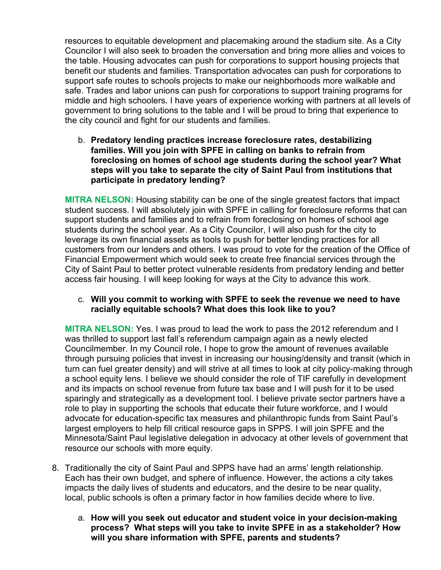resources to equitable development and placemaking around the stadium site. As a City Councilor I will also seek to broaden the conversation and bring more allies and voices to the table. Housing advocates can push for corporations to support housing projects that benefit our students and families. Transportation advocates can push for corporations to support safe routes to schools projects to make our neighborhoods more walkable and safe. Trades and labor unions can push for corporations to support training programs for middle and high schoolers. I have years of experience working with partners at all levels of government to bring solutions to the table and I will be proud to bring that experience to the city council and fight for our students and families.

b. **Predatory lending practices increase foreclosure rates, destabilizing families. Will you join with SPFE in calling on banks to refrain from foreclosing on homes of school age students during the school year? What steps will you take to separate the city of Saint Paul from institutions that participate in predatory lending?**

**MITRA NELSON:** Housing stability can be one of the single greatest factors that impact student success. I will absolutely join with SPFE in calling for foreclosure reforms that can support students and families and to refrain from foreclosing on homes of school age students during the school year. As a City Councilor, I will also push for the city to leverage its own financial assets as tools to push for better lending practices for all customers from our lenders and others. I was proud to vote for the creation of the Office of Financial Empowerment which would seek to create free financial services through the City of Saint Paul to better protect vulnerable residents from predatory lending and better access fair housing. I will keep looking for ways at the City to advance this work.

### c. **Will you commit to working with SPFE to seek the revenue we need to have racially equitable schools? What does this look like to you?**

**MITRA NELSON:** Yes. I was proud to lead the work to pass the 2012 referendum and I was thrilled to support last fall's referendum campaign again as a newly elected Councilmember. In my Council role, I hope to grow the amount of revenues available through pursuing policies that invest in increasing our housing/density and transit (which in turn can fuel greater density) and will strive at all times to look at city policy-making through a school equity lens. I believe we should consider the role of TIF carefully in development and its impacts on school revenue from future tax base and I will push for it to be used sparingly and strategically as a development tool. I believe private sector partners have a role to play in supporting the schools that educate their future workforce, and I would advocate for education-specific tax measures and philanthropic funds from Saint Paul's largest employers to help fill critical resource gaps in SPPS. I will join SPFE and the Minnesota/Saint Paul legislative delegation in advocacy at other levels of government that resource our schools with more equity.

- 8. Traditionally the city of Saint Paul and SPPS have had an arms' length relationship. Each has their own budget, and sphere of influence. However, the actions a city takes impacts the daily lives of students and educators, and the desire to be near quality, local, public schools is often a primary factor in how families decide where to live.
	- a. **How will you seek out educator and student voice in your decision-making process? What steps will you take to invite SPFE in as a stakeholder? How will you share information with SPFE, parents and students?**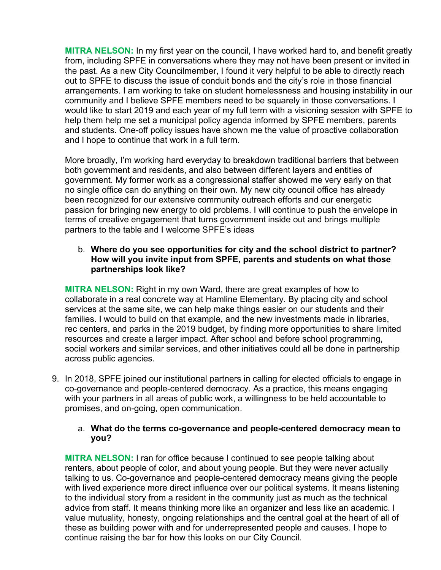**MITRA NELSON:** In my first year on the council, I have worked hard to, and benefit greatly from, including SPFE in conversations where they may not have been present or invited in the past. As a new City Councilmember, I found it very helpful to be able to directly reach out to SPFE to discuss the issue of conduit bonds and the city's role in those financial arrangements. I am working to take on student homelessness and housing instability in our community and I believe SPFE members need to be squarely in those conversations. I would like to start 2019 and each year of my full term with a visioning session with SPFE to help them help me set a municipal policy agenda informed by SPFE members, parents and students. One-off policy issues have shown me the value of proactive collaboration and I hope to continue that work in a full term.

More broadly, I'm working hard everyday to breakdown traditional barriers that between both government and residents, and also between different layers and entities of government. My former work as a congressional staffer showed me very early on that no single office can do anything on their own. My new city council office has already been recognized for our extensive community outreach efforts and our energetic passion for bringing new energy to old problems. I will continue to push the envelope in terms of creative engagement that turns government inside out and brings multiple partners to the table and I welcome SPFE's ideas

## b. **Where do you see opportunities for city and the school district to partner? How will you invite input from SPFE, parents and students on what those partnerships look like?**

**MITRA NELSON:** Right in my own Ward, there are great examples of how to collaborate in a real concrete way at Hamline Elementary. By placing city and school services at the same site, we can help make things easier on our students and their families. I would to build on that example, and the new investments made in libraries, rec centers, and parks in the 2019 budget, by finding more opportunities to share limited resources and create a larger impact. After school and before school programming, social workers and similar services, and other initiatives could all be done in partnership across public agencies.

9. In 2018, SPFE joined our institutional partners in calling for elected officials to engage in co-governance and people-centered democracy. As a practice, this means engaging with your partners in all areas of public work, a willingness to be held accountable to promises, and on-going, open communication.

### a. **What do the terms co-governance and people-centered democracy mean to you?**

**MITRA NELSON:** I ran for office because I continued to see people talking about renters, about people of color, and about young people. But they were never actually talking to us. Co-governance and people-centered democracy means giving the people with lived experience more direct influence over our political systems. It means listening to the individual story from a resident in the community just as much as the technical advice from staff. It means thinking more like an organizer and less like an academic. I value mutuality, honesty, ongoing relationships and the central goal at the heart of all of these as building power with and for underrepresented people and causes. I hope to continue raising the bar for how this looks on our City Council.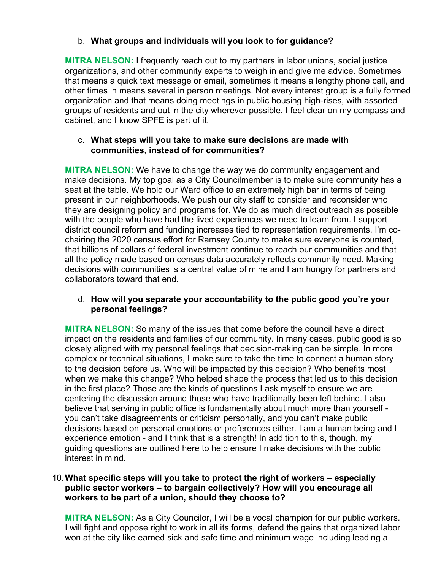# b. **What groups and individuals will you look to for guidance?**

**MITRA NELSON:** I frequently reach out to my partners in labor unions, social justice organizations, and other community experts to weigh in and give me advice. Sometimes that means a quick text message or email, sometimes it means a lengthy phone call, and other times in means several in person meetings. Not every interest group is a fully formed organization and that means doing meetings in public housing high-rises, with assorted groups of residents and out in the city wherever possible. I feel clear on my compass and cabinet, and I know SPFE is part of it.

### c. **What steps will you take to make sure decisions are made with communities, instead of for communities?**

**MITRA NELSON:** We have to change the way we do community engagement and make decisions. My top goal as a City Councilmember is to make sure community has a seat at the table. We hold our Ward office to an extremely high bar in terms of being present in our neighborhoods. We push our city staff to consider and reconsider who they are designing policy and programs for. We do as much direct outreach as possible with the people who have had the lived experiences we need to learn from. I support district council reform and funding increases tied to representation requirements. I'm cochairing the 2020 census effort for Ramsey County to make sure everyone is counted, that billions of dollars of federal investment continue to reach our communities and that all the policy made based on census data accurately reflects community need. Making decisions with communities is a central value of mine and I am hungry for partners and collaborators toward that end.

### d. **How will you separate your accountability to the public good you're your personal feelings?**

**MITRA NELSON:** So many of the issues that come before the council have a direct impact on the residents and families of our community. In many cases, public good is so closely aligned with my personal feelings that decision-making can be simple. In more complex or technical situations, I make sure to take the time to connect a human story to the decision before us. Who will be impacted by this decision? Who benefits most when we make this change? Who helped shape the process that led us to this decision in the first place? Those are the kinds of questions I ask myself to ensure we are centering the discussion around those who have traditionally been left behind. I also believe that serving in public office is fundamentally about much more than yourself you can't take disagreements or criticism personally, and you can't make public decisions based on personal emotions or preferences either. I am a human being and I experience emotion - and I think that is a strength! In addition to this, though, my guiding questions are outlined here to help ensure I make decisions with the public interest in mind.

## 10.**What specific steps will you take to protect the right of workers – especially public sector workers – to bargain collectively? How will you encourage all workers to be part of a union, should they choose to?**

**MITRA NELSON:** As a City Councilor, I will be a vocal champion for our public workers. I will fight and oppose right to work in all its forms, defend the gains that organized labor won at the city like earned sick and safe time and minimum wage including leading a